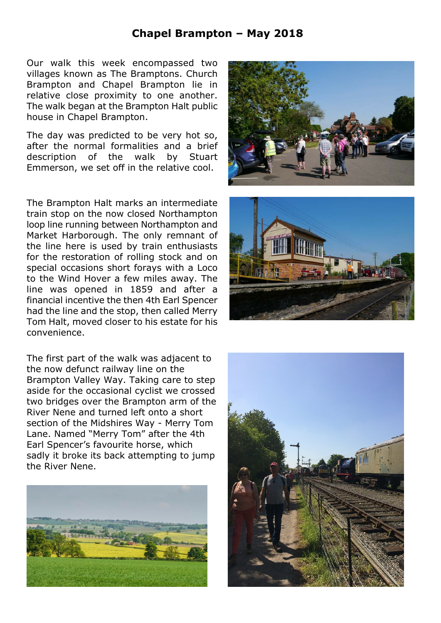## **Chapel Brampton – May 2018**

Our walk this week encompassed two villages known as The Bramptons. Church Brampton and Chapel Brampton lie in relative close proximity to one another. The walk began at the Brampton Halt public house in Chapel Brampton.

The day was predicted to be very hot so, after the normal formalities and a brief description of the walk by Stuart Emmerson, we set off in the relative cool.

The Brampton Halt marks an intermediate train stop on the now closed Northampton loop line running between Northampton and Market Harborough. The only remnant of the line here is used by train enthusiasts for the restoration of rolling stock and on special occasions short forays with a Loco to the Wind Hover a few miles away. The line was opened in 1859 and after a financial incentive the then 4th Earl Spencer had the line and the stop, then called Merry Tom Halt, moved closer to his estate for his convenience.

The first part of the walk was adjacent to the now defunct railway line on the Brampton Valley Way. Taking care to step aside for the occasional cyclist we crossed two bridges over the Brampton arm of the River Nene and turned left onto a short section of the Midshires Way - Merry Tom Lane. Named "Merry Tom" after the 4th Earl Spencer's favourite horse, which sadly it broke its back attempting to jump the River Nene.







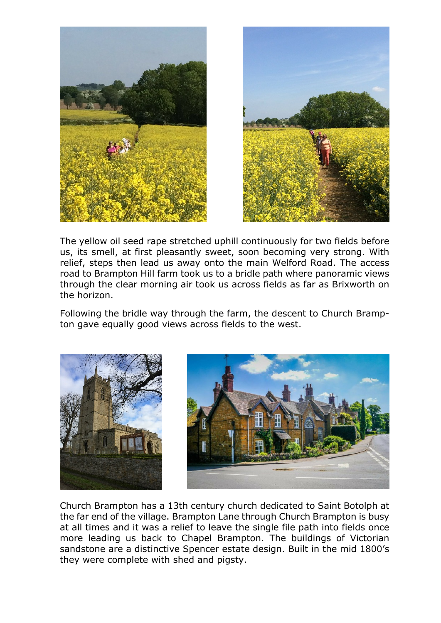



The yellow oil seed rape stretched uphill continuously for two fields before us, its smell, at first pleasantly sweet, soon becoming very strong. With relief, steps then lead us away onto the main Welford Road. The access road to Brampton Hill farm took us to a bridle path where panoramic views through the clear morning air took us across fields as far as Brixworth on the horizon.

Following the bridle way through the farm, the descent to Church Brampton gave equally good views across fields to the west.





Church Brampton has a 13th century church dedicated to Saint Botolph at the far end of the village. Brampton Lane through Church Brampton is busy at all times and it was a relief to leave the single file path into fields once more leading us back to Chapel Brampton. The buildings of Victorian sandstone are a distinctive Spencer estate design. Built in the mid 1800's they were complete with shed and pigsty.